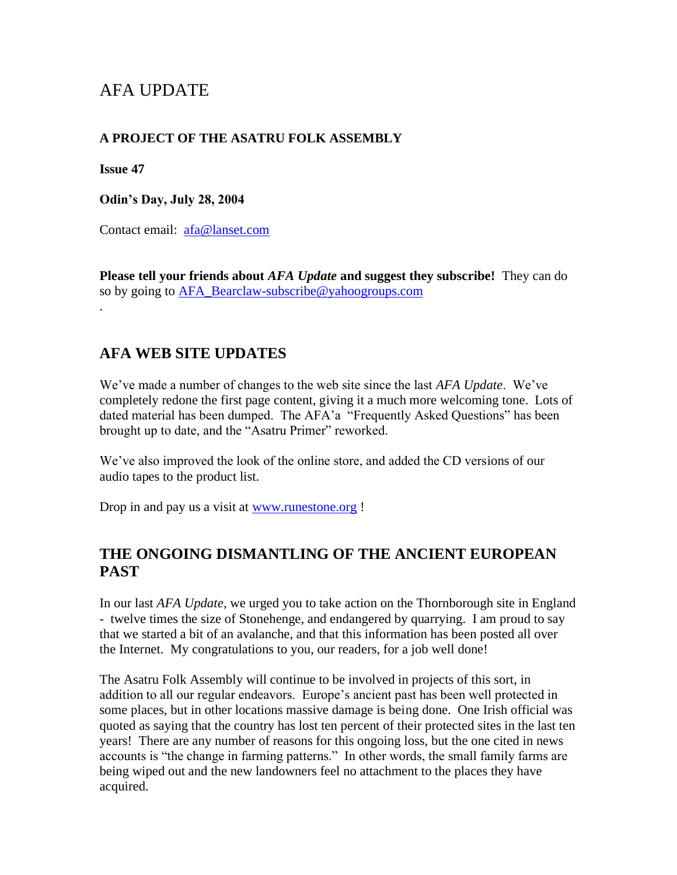# AFA UPDATE

#### **A PROJECT OF THE ASATRU FOLK ASSEMBLY**

**Issue 47**

.

**Odin's Day, July 28, 2004**

Contact email: [afa@lanset.com](mailto:afa@lanset.com)

**Please tell your friends about** *AFA Update* **and suggest they subscribe!** They can do so by going to [AFA\\_Bearclaw-subscribe@yahoogroups.com](mailto:AFA_Bearclaw-subscribe@yahoogroups.com)

#### **AFA WEB SITE UPDATES**

We've made a number of changes to the web site since the last *AFA Update*. We've completely redone the first page content, giving it a much more welcoming tone. Lots of dated material has been dumped. The AFA'a "Frequently Asked Questions" has been brought up to date, and the "Asatru Primer" reworked.

We've also improved the look of the online store, and added the CD versions of our audio tapes to the product list.

Drop in and pay us a visit at [www.runestone.org](http://www.runestone.org/) !

#### **THE ONGOING DISMANTLING OF THE ANCIENT EUROPEAN PAST**

In our last *AFA Update*, we urged you to take action on the Thornborough site in England - twelve times the size of Stonehenge, and endangered by quarrying. I am proud to say that we started a bit of an avalanche, and that this information has been posted all over the Internet. My congratulations to you, our readers, for a job well done!

The Asatru Folk Assembly will continue to be involved in projects of this sort, in addition to all our regular endeavors. Europe's ancient past has been well protected in some places, but in other locations massive damage is being done. One Irish official was quoted as saying that the country has lost ten percent of their protected sites in the last ten years! There are any number of reasons for this ongoing loss, but the one cited in news accounts is "the change in farming patterns." In other words, the small family farms are being wiped out and the new landowners feel no attachment to the places they have acquired.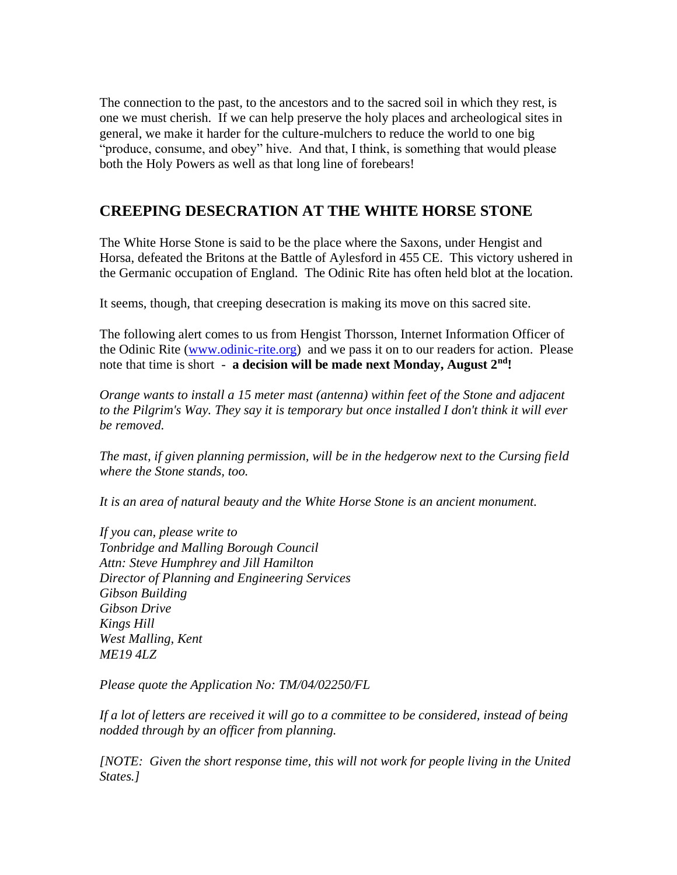The connection to the past, to the ancestors and to the sacred soil in which they rest, is one we must cherish. If we can help preserve the holy places and archeological sites in general, we make it harder for the culture-mulchers to reduce the world to one big "produce, consume, and obey" hive. And that, I think, is something that would please both the Holy Powers as well as that long line of forebears!

### **CREEPING DESECRATION AT THE WHITE HORSE STONE**

The White Horse Stone is said to be the place where the Saxons, under Hengist and Horsa, defeated the Britons at the Battle of Aylesford in 455 CE. This victory ushered in the Germanic occupation of England. The Odinic Rite has often held blot at the location.

It seems, though, that creeping desecration is making its move on this sacred site.

The following alert comes to us from Hengist Thorsson, Internet Information Officer of the Odinic Rite [\(www.odinic-rite.org\)](http://www.odinic-rite.org/) and we pass it on to our readers for action. Please note that time is short - **a decision will be made next Monday, August 2nd!**

*Orange wants to install a 15 meter mast (antenna) within feet of the Stone and adjacent to the Pilgrim's Way. They say it is temporary but once installed I don't think it will ever be removed.*

*The mast, if given planning permission, will be in the hedgerow next to the Cursing field where the Stone stands, too.*

*It is an area of natural beauty and the White Horse Stone is an ancient monument.*

*If you can, please write to Tonbridge and Malling Borough Council Attn: Steve Humphrey and Jill Hamilton Director of Planning and Engineering Services Gibson Building Gibson Drive Kings Hill West Malling, Kent ME19 4LZ*

*Please quote the Application No: TM/04/02250/FL*

*If a lot of letters are received it will go to a committee to be considered, instead of being nodded through by an officer from planning.*

*[NOTE: Given the short response time, this will not work for people living in the United States.]*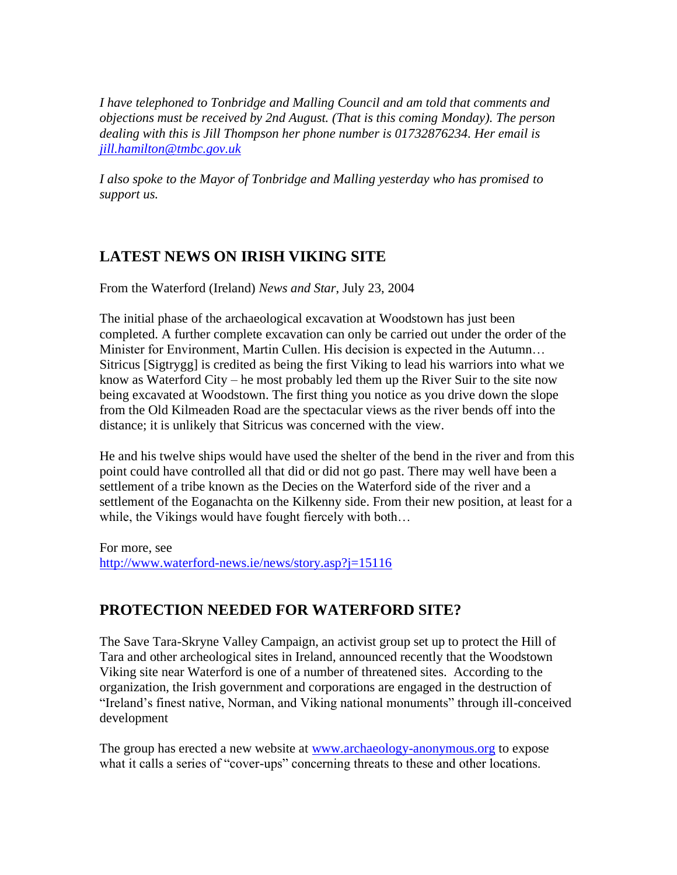*I have telephoned to Tonbridge and Malling Council and am told that comments and objections must be received by 2nd August. (That is this coming Monday). The person dealing with this is Jill Thompson her phone number is 01732876234. Her email is [jill.hamilton@tmbc.gov.uk](mailto:jill.hamilton@tmbc.gov.uk)*

*I also spoke to the Mayor of Tonbridge and Malling yesterday who has promised to support us.*

## **LATEST NEWS ON IRISH VIKING SITE**

From the Waterford (Ireland) *News and Star*, July 23, 2004

The initial phase of the archaeological excavation at Woodstown has just been completed. A further complete excavation can only be carried out under the order of the Minister for Environment, Martin Cullen. His decision is expected in the Autumn… Sitricus [Sigtrygg] is credited as being the first Viking to lead his warriors into what we know as Waterford City – he most probably led them up the River Suir to the site now being excavated at Woodstown. The first thing you notice as you drive down the slope from the Old Kilmeaden Road are the spectacular views as the river bends off into the distance; it is unlikely that Sitricus was concerned with the view.

He and his twelve ships would have used the shelter of the bend in the river and from this point could have controlled all that did or did not go past. There may well have been a settlement of a tribe known as the Decies on the Waterford side of the river and a settlement of the Eoganachta on the Kilkenny side. From their new position, at least for a while, the Vikings would have fought fiercely with both…

For more, see <http://www.waterford-news.ie/news/story.asp?j=15116>

## **PROTECTION NEEDED FOR WATERFORD SITE?**

The Save Tara-Skryne Valley Campaign, an activist group set up to protect the Hill of Tara and other archeological sites in Ireland, announced recently that the Woodstown Viking site near Waterford is one of a number of threatened sites. According to the organization, the Irish government and corporations are engaged in the destruction of "Ireland's finest native, Norman, and Viking national monuments" through ill-conceived development

The group has erected a new website at [www.archaeology-anonymous.org](http://www.archaeology-anonymous.org/) to expose what it calls a series of "cover-ups" concerning threats to these and other locations.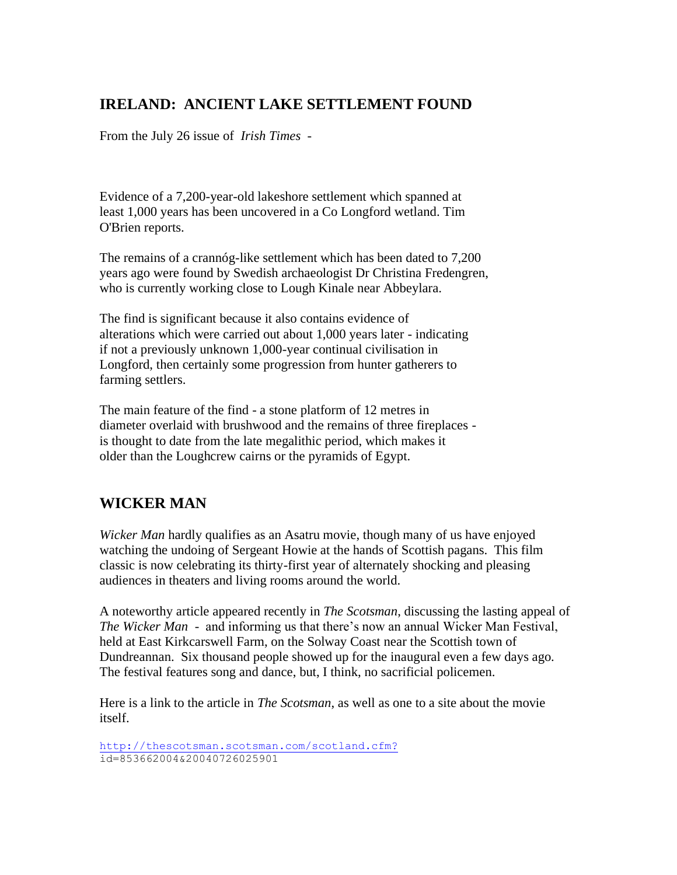### **IRELAND: ANCIENT LAKE SETTLEMENT FOUND**

From the July 26 issue of *Irish Times* -

Evidence of a 7,200-year-old lakeshore settlement which spanned at least 1,000 years has been uncovered in a Co Longford wetland. Tim O'Brien reports.

The remains of a crannóg-like settlement which has been dated to 7,200 years ago were found by Swedish archaeologist Dr Christina Fredengren, who is currently working close to Lough Kinale near Abbeylara.

The find is significant because it also contains evidence of alterations which were carried out about 1,000 years later - indicating if not a previously unknown 1,000-year continual civilisation in Longford, then certainly some progression from hunter gatherers to farming settlers.

The main feature of the find - a stone platform of 12 metres in diameter overlaid with brushwood and the remains of three fireplaces is thought to date from the late megalithic period, which makes it older than the Loughcrew cairns or the pyramids of Egypt.

## **WICKER MAN**

*Wicker Man* hardly qualifies as an Asatru movie, though many of us have enjoyed watching the undoing of Sergeant Howie at the hands of Scottish pagans. This film classic is now celebrating its thirty-first year of alternately shocking and pleasing audiences in theaters and living rooms around the world.

A noteworthy article appeared recently in *The Scotsman*, discussing the lasting appeal of *The Wicker Man* - and informing us that there's now an annual Wicker Man Festival, held at East Kirkcarswell Farm, on the Solway Coast near the Scottish town of Dundreannan. Six thousand people showed up for the inaugural even a few days ago. The festival features song and dance, but, I think, no sacrificial policemen.

Here is a link to the article in *The Scotsman*, as well as one to a site about the movie itself.

```
http://thescotsman.scotsman.com/scotland.cfm?
id=853662004&20040726025901
```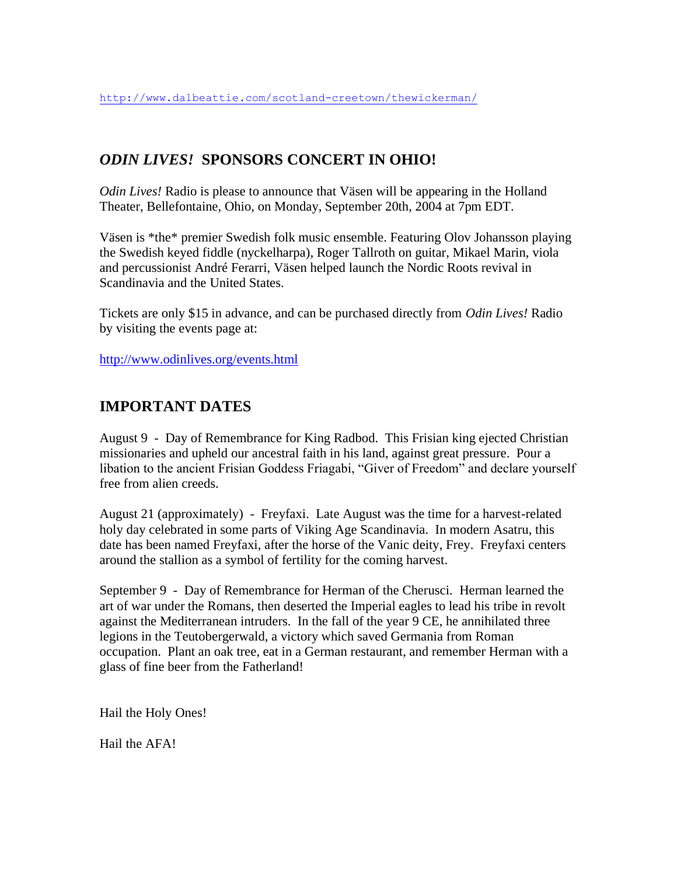## *ODIN LIVES!* **SPONSORS CONCERT IN OHIO!**

*Odin Lives!* Radio is please to announce that Väsen will be appearing in the Holland Theater, Bellefontaine, Ohio, on Monday, September 20th, 2004 at 7pm EDT.

Väsen is \*the\* premier Swedish folk music ensemble. Featuring Olov Johansson playing the Swedish keyed fiddle (nyckelharpa), Roger Tallroth on guitar, Mikael Marin, viola and percussionist André Ferarri, Väsen helped launch the Nordic Roots revival in Scandinavia and the United States.

Tickets are only \$15 in advance, and can be purchased directly from *Odin Lives!* Radio by visiting the events page at:

<http://www.odinlives.org/events.html>

## **IMPORTANT DATES**

August 9 - Day of Remembrance for King Radbod. This Frisian king ejected Christian missionaries and upheld our ancestral faith in his land, against great pressure. Pour a libation to the ancient Frisian Goddess Friagabi, "Giver of Freedom" and declare yourself free from alien creeds.

August 21 (approximately) - Freyfaxi. Late August was the time for a harvest-related holy day celebrated in some parts of Viking Age Scandinavia. In modern Asatru, this date has been named Freyfaxi, after the horse of the Vanic deity, Frey. Freyfaxi centers around the stallion as a symbol of fertility for the coming harvest.

September 9 - Day of Remembrance for Herman of the Cherusci. Herman learned the art of war under the Romans, then deserted the Imperial eagles to lead his tribe in revolt against the Mediterranean intruders. In the fall of the year 9 CE, he annihilated three legions in the Teutobergerwald, a victory which saved Germania from Roman occupation. Plant an oak tree, eat in a German restaurant, and remember Herman with a glass of fine beer from the Fatherland!

Hail the Holy Ones!

Hail the AFA!